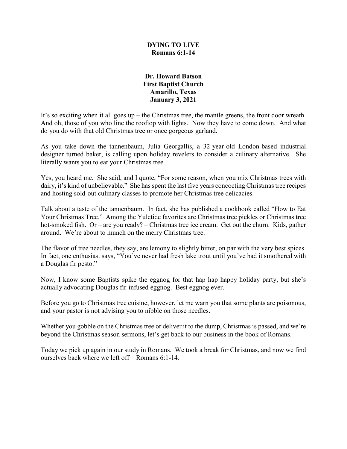## **DYING TO LIVE Romans 6:1-14**

## **Dr. Howard Batson First Baptist Church Amarillo, Texas January 3, 2021**

It's so exciting when it all goes up – the Christmas tree, the mantle greens, the front door wreath. And oh, those of you who line the rooftop with lights. Now they have to come down. And what do you do with that old Christmas tree or once gorgeous garland.

As you take down the tannenbaum, Julia Georgallis, a 32-year-old London-based industrial designer turned baker, is calling upon holiday revelers to consider a culinary alternative. She literally wants you to eat your Christmas tree.

Yes, you heard me. She said, and I quote, "For some reason, when you mix Christmas trees with dairy, it's kind of unbelievable." She has spent the last five years concocting Christmas tree recipes and hosting sold-out culinary classes to promote her Christmas tree delicacies.

Talk about a taste of the tannenbaum. In fact, she has published a cookbook called "How to Eat Your Christmas Tree." Among the Yuletide favorites are Christmas tree pickles or Christmas tree hot-smoked fish. Or – are you ready? – Christmas tree ice cream. Get out the churn. Kids, gather around. We're about to munch on the merry Christmas tree.

The flavor of tree needles, they say, are lemony to slightly bitter, on par with the very best spices. In fact, one enthusiast says, "You've never had fresh lake trout until you've had it smothered with a Douglas fir pesto."

Now, I know some Baptists spike the eggnog for that hap hap happy holiday party, but she's actually advocating Douglas fir-infused eggnog. Best eggnog ever.

Before you go to Christmas tree cuisine, however, let me warn you that some plants are poisonous, and your pastor is not advising you to nibble on those needles.

Whether you gobble on the Christmas tree or deliver it to the dump, Christmas is passed, and we're beyond the Christmas season sermons, let's get back to our business in the book of Romans.

Today we pick up again in our study in Romans. We took a break for Christmas, and now we find ourselves back where we left off – Romans 6:1-14.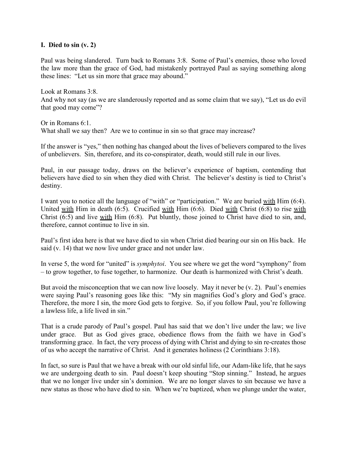#### **I. Died to sin (v. 2)**

Paul was being slandered. Turn back to Romans 3:8. Some of Paul's enemies, those who loved the law more than the grace of God, had mistakenly portrayed Paul as saying something along these lines: "Let us sin more that grace may abound."

Look at Romans 3:8. And why not say (as we are slanderously reported and as some claim that we say), "Let us do evil that good may come"?

Or in Romans 6:1. What shall we say then? Are we to continue in sin so that grace may increase?

If the answer is "yes," then nothing has changed about the lives of believers compared to the lives of unbelievers. Sin, therefore, and its co-conspirator, death, would still rule in our lives.

Paul, in our passage today, draws on the believer's experience of baptism, contending that believers have died to sin when they died with Christ. The believer's destiny is tied to Christ's destiny.

I want you to notice all the language of "with" or "participation." We are buried with Him (6:4). United with Him in death (6:5). Crucified with Him (6:6). Died with Christ (6:8) to rise with Christ  $(6.5)$  and live with Him (6:8). Put bluntly, those joined to Christ have died to sin, and, therefore, cannot continue to live in sin.

Paul's first idea here is that we have died to sin when Christ died bearing our sin on His back. He said (v. 14) that we now live under grace and not under law.

In verse 5, the word for "united" is *symphytoi*. You see where we get the word "symphony" from – to grow together, to fuse together, to harmonize. Our death is harmonized with Christ's death.

But avoid the misconception that we can now live loosely. May it never be (v. 2). Paul's enemies were saying Paul's reasoning goes like this: "My sin magnifies God's glory and God's grace. Therefore, the more I sin, the more God gets to forgive. So, if you follow Paul, you're following a lawless life, a life lived in sin."

That is a crude parody of Paul's gospel. Paul has said that we don't live under the law; we live under grace. But as God gives grace, obedience flows from the faith we have in God's transforming grace. In fact, the very process of dying with Christ and dying to sin re-creates those of us who accept the narrative of Christ. And it generates holiness (2 Corinthians 3:18).

In fact, so sure is Paul that we have a break with our old sinful life, our Adam-like life, that he says we are undergoing death to sin. Paul doesn't keep shouting "Stop sinning." Instead, he argues that we no longer live under sin's dominion. We are no longer slaves to sin because we have a new status as those who have died to sin. When we're baptized, when we plunge under the water,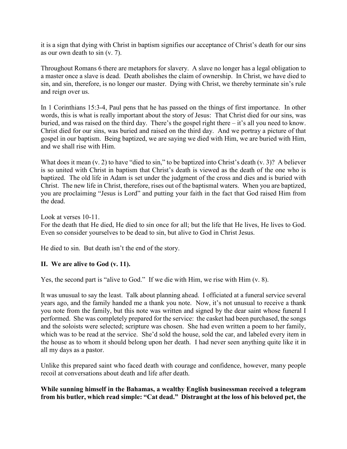it is a sign that dying with Christ in baptism signifies our acceptance of Christ's death for our sins as our own death to sin (v. 7).

Throughout Romans 6 there are metaphors for slavery. A slave no longer has a legal obligation to a master once a slave is dead. Death abolishes the claim of ownership. In Christ, we have died to sin, and sin, therefore, is no longer our master. Dying with Christ, we thereby terminate sin's rule and reign over us.

In 1 Corinthians 15:3-4, Paul pens that he has passed on the things of first importance. In other words, this is what is really important about the story of Jesus: That Christ died for our sins, was buried, and was raised on the third day. There's the gospel right there – it's all you need to know. Christ died for our sins, was buried and raised on the third day. And we portray a picture of that gospel in our baptism. Being baptized, we are saying we died with Him, we are buried with Him, and we shall rise with Him.

What does it mean (v. 2) to have "died to sin," to be baptized into Christ's death (v. 3)? A believer is so united with Christ in baptism that Christ's death is viewed as the death of the one who is baptized. The old life in Adam is set under the judgment of the cross and dies and is buried with Christ. The new life in Christ, therefore, rises out of the baptismal waters. When you are baptized, you are proclaiming "Jesus is Lord" and putting your faith in the fact that God raised Him from the dead.

Look at verses 10-11.

For the death that He died, He died to sin once for all; but the life that He lives, He lives to God. Even so consider yourselves to be dead to sin, but alive to God in Christ Jesus.

He died to sin. But death isn't the end of the story.

# **II. We are alive to God (v. 11).**

Yes, the second part is "alive to God." If we die with Him, we rise with Him (v. 8).

It was unusual to say the least. Talk about planning ahead. I officiated at a funeral service several years ago, and the family handed me a thank you note. Now, it's not unusual to receive a thank you note from the family, but this note was written and signed by the dear saint whose funeral I performed. She was completely prepared for the service: the casket had been purchased, the songs and the soloists were selected; scripture was chosen. She had even written a poem to her family, which was to be read at the service. She'd sold the house, sold the car, and labeled every item in the house as to whom it should belong upon her death. I had never seen anything quite like it in all my days as a pastor.

Unlike this prepared saint who faced death with courage and confidence, however, many people recoil at conversations about death and life after death.

# **While sunning himself in the Bahamas, a wealthy English businessman received a telegram from his butler, which read simple: "Cat dead." Distraught at the loss of his beloved pet, the**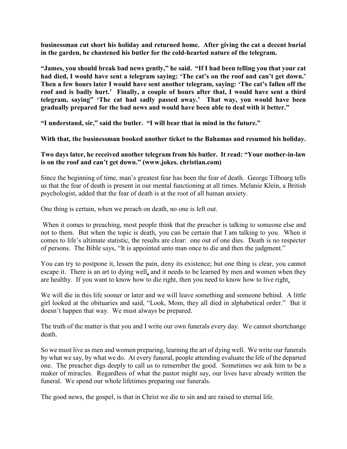**businessman cut short his holiday and returned home. After giving the cat a decent burial in the garden, he chastened his butler for the cold-hearted nature of the telegram.** 

**"James, you should break bad news gently," he said. "If I had been telling you that your cat had died, I would have sent a telegram saying: 'The cat's on the roof and can't get down.' Then a few hours later I would have sent another telegram, saying: 'The cat's fallen off the roof and is badly hurt.' Finally, a couple of hours after that, I would have sent a third telegram, saying" 'The cat had sadly passed away.' That way, you would have been gradually prepared for the bad news and would have been able to deal with it better."**

**"I understand, sir," said the butler. "I will bear that in mind in the future."**

**With that, the businessman booked another ticket to the Bahamas and resumed his holiday.**

## **Two days later, he received another telegram from his butler. It read: "Your mother-in-law is on the roof and can't get down." (www.jokes. christian.com)**

Since the beginning of time, man's greatest fear has been the fear of death. George Tilboarg tells us that the fear of death is present in our mental functioning at all times. Melanie Klein, a British psychologist, added that the fear of death is at the root of all human anxiety.

One thing is certain, when we preach on death, no one is left out.

When it comes to preaching, most people think that the preacher is talking to someone else and not to them. But when the topic is death, you can be certain that I am talking to you. When it comes to life's ultimate statistic, the results are clear: one out of one dies. Death is no respecter of persons. The Bible says, "It is appointed unto man once to die and then the judgment."

You can try to postpone it, lessen the pain, deny its existence; but one thing is clear, you cannot escape it. There is an art to dying well, and it needs to be learned by men and women when they are healthy. If you want to know how to die right, then you need to know how to live right.

We will die in this life sooner or later and we will leave something and someone behind. A little girl looked at the obituaries and said, "Look, Mom, they all died in alphabetical order." But it doesn't happen that way. We must always be prepared.

The truth of the matter is that you and I write our own funerals every day. We cannot shortchange death.

So we must live as men and women preparing, learning the art of dying well. We write our funerals by what we say, by what we do. At every funeral, people attending evaluate the life of the departed one. The preacher digs deeply to call us to remember the good. Sometimes we ask him to be a maker of miracles. Regardless of what the pastor might say, our lives have already written the funeral. We spend our whole lifetimes preparing our funerals.

The good news, the gospel, is that in Christ we die to sin and are raised to eternal life.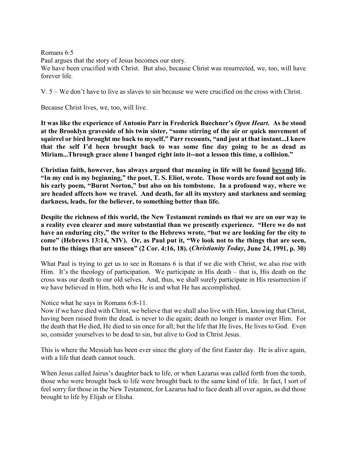Romans 6:5

Paul argues that the story of Jesus becomes our story.

We have been crucified with Christ. But also, because Christ was resurrected, we, too, will have forever life.

V. 5 – We don't have to live as slaves to sin because we were crucified on the cross with Christ.

Because Christ lives, we, too, will live.

**It was like the experience of Antonio Parr in Frederick Buechner's** *Open Heart***. As he stood at the Brooklyn graveside of his twin sister, "some stirring of the air or quick movement of squirrel or bird brought me back to myself," Parr recounts, "and just at that instant...I knew that the self I'd been brought back to was some fine day going to be as dead as Miriam...Through grace alone I banged right into it--not a lesson this time, a collision."** 

**Christian faith, however, has always argued that meaning in life will be found beyond life. "In my end is my beginning," the poet, T. S. Eliot, wrote. Those words are found not only in his early poem, "Burnt Norton," but also on his tombstone. In a profound way, where we are headed affects how we travel. And death, for all its mystery and starkness and seeming darkness, leads, for the believer, to something better than life.**

**Despite the richness of this world, the New Testament reminds us that we are on our way to a reality even clearer and more substantial than we presently experience. "Here we do not have an enduring city," the writer to the Hebrews wrote, "but we are looking for the city to come" (Hebrews 13:14, NIV). Or, as Paul put it, "We look not to the things that are seen, but to the things that are unseen" (2 Cor. 4:16, 18). (***Christianity Today***, June 24, 1991, p. 30)**

What Paul is trying to get us to see in Romans 6 is that if we die with Christ, we also rise with Him. It's the theology of participation. We participate in His death – that is, His death on the cross was our death to our old selves. And, thus, we shall surely participate in His resurrection if we have believed in Him, both who He is and what He has accomplished.

Notice what he says in Romans 6:8-11.

Now if we have died with Christ, we believe that we shall also live with Him, knowing that Christ, having been raised from the dead, is never to die again; death no longer is master over Him. For the death that He died, He died to sin once for all; but the life that He lives, He lives to God. Even so, consider yourselves to be dead to sin, but alive to God in Christ Jesus.

This is where the Messiah has been ever since the glory of the first Easter day. He is alive again, with a life that death cannot touch.

When Jesus called Jairus's daughter back to life, or when Lazarus was called forth from the tomb, those who were brought back to life were brought back to the same kind of life. In fact, I sort of feel sorry for those in the New Testament, for Lazarus had to face death all over again, as did those brought to life by Elijah or Elisha.